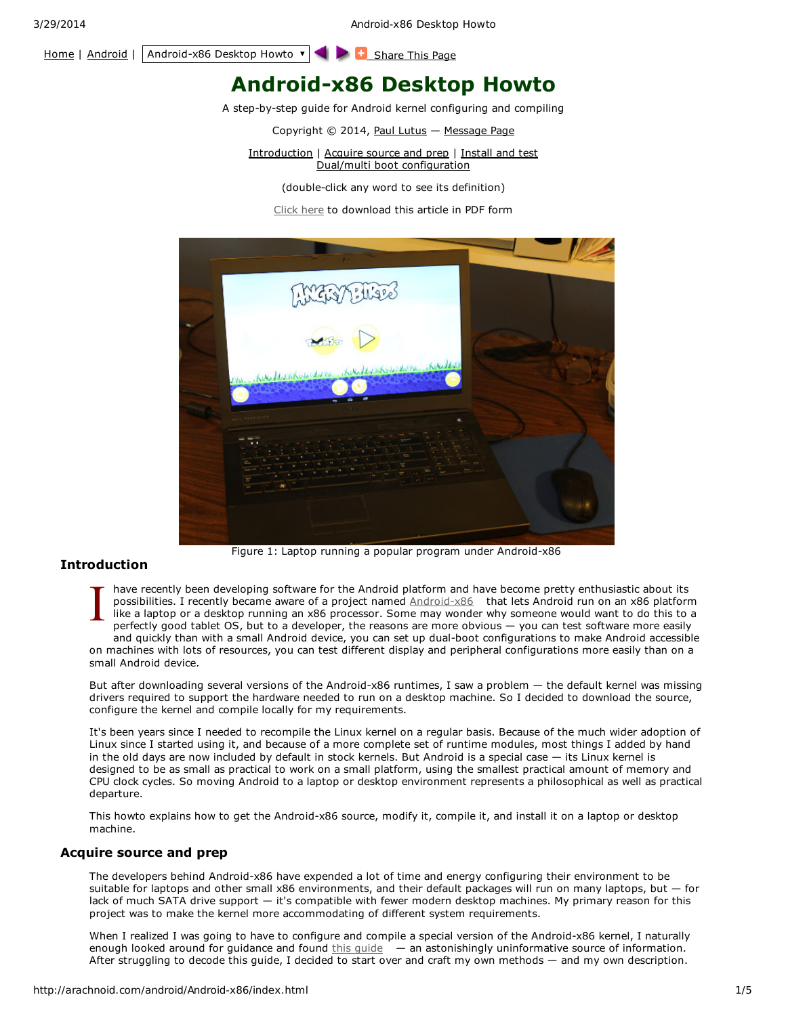3/29/2014 Android-x86 Desktop Howto

## [Home](http://arachnoid.com/index.html) | [Android](http://arachnoid.com/android/AnchorSentinel/index.html) | Android-x86 Desktop Howto  $\mathbf{v}$  |  $\blacksquare$  [Share](http://arachnoid.com/administration/submit.php) This Page

# **Android-x86 Desktop Howto**

A step-by-step guide for Android kernel configuring and compiling

Copyright © 2014, Paul [Lutus](http://arachnoid.com/android/administration/index.html) — [Message](http://arachnoid.com/android/messages/index.php) Page

Introduction | Acquire source and prep | Install and test Dual/multi boot configuration

(double-click any word to see its definition)

[Click](http://arachnoid.com/android/Android-x86/resources/Android-x86%20Desktop%20Howto.pdf) here to download this article in PDF form



Figure 1: Laptop running a popular program under Android-x86

## **Introduction**

 $\prod_{p=0}^{n}$ have recently been developing software for the Android platform and have become pretty enthusiastic about its possibilities. I recently became aware of a project named [Android-x86](http://www.android-x86.org/) that lets Android run on an x86 platform like a laptop or a desktop running an x86 processor. Some may wonder why someone would want to do this to a perfectly good tablet OS, but to a developer, the reasons are more obvious — you can test software more easily and quickly than with a small Android device, you can set up dual-boot configurations to make Android accessible on machines with lots of resources, you can test different display and peripheral configurations more easily than on a small Android device.

But after downloading several versions of the Android-x86 runtimes, I saw a problem — the default kernel was missing drivers required to support the hardware needed to run on a desktop machine. So I decided to download the source, configure the kernel and compile locally for my requirements.

It's been years since I needed to recompile the Linux kernel on a regular basis. Because of the much wider adoption of Linux since I started using it, and because of a more complete set of runtime modules, most things I added by hand in the old days are now included by default in stock kernels. But Android is a special case — its Linux kernel is designed to be as small as practical to work on a small platform, using the smallest practical amount of memory and CPU clock cycles. So moving Android to a laptop or desktop environment represents a philosophical as well as practical departure.

This howto explains how to get the Android-x86 source, modify it, compile it, and install it on a laptop or desktop machine.

## **Acquire source and prep**

The developers behind Android-x86 have expended a lot of time and energy configuring their environment to be suitable for laptops and other small x86 environments, and their default packages will run on many laptops, but — for lack of much SATA drive support — it's compatible with fewer modern desktop machines. My primary reason for this project was to make the kernel more accommodating of different system requirements.

When I realized I was going to have to configure and compile a special version of the Android-x86 kernel, I naturally enough looked around for guidance and found  $\frac{1}{2}$  minical degree an astonishingly uninformative source of information. After struggling to decode this guide, I decided to start over and craft my own methods — and my own description.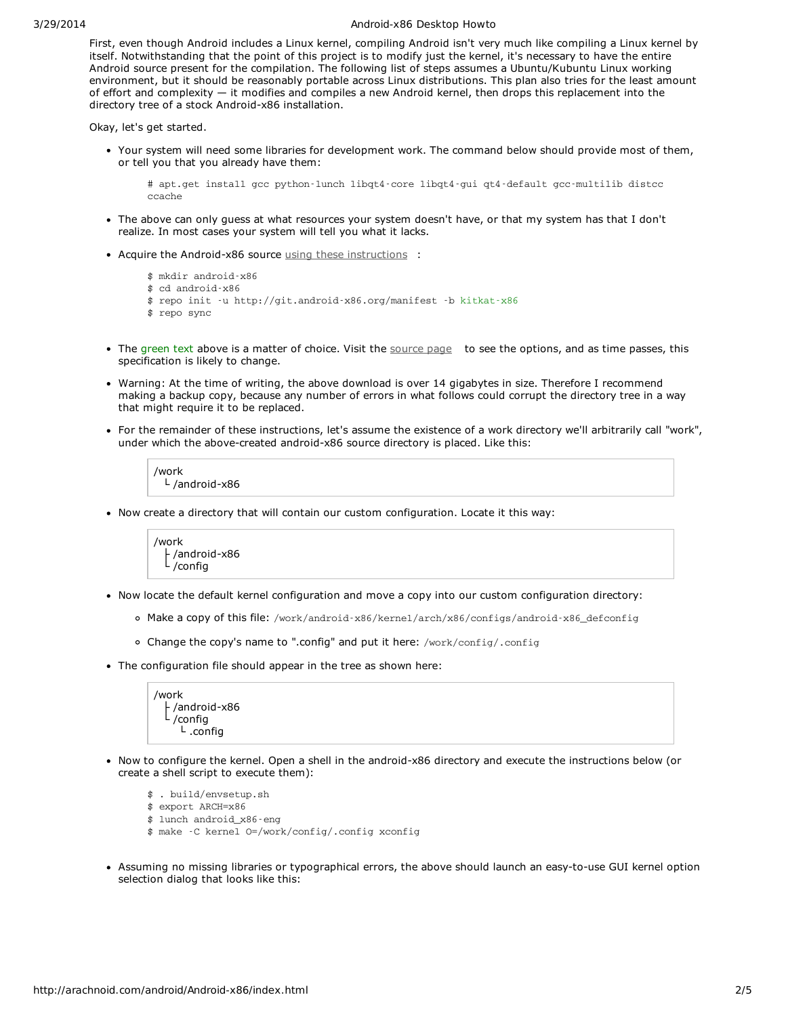#### 3/29/2014 Android-x86 Desktop Howto

First, even though Android includes a Linux kernel, compiling Android isn't very much like compiling a Linux kernel by itself. Notwithstanding that the point of this project is to modify just the kernel, it's necessary to have the entire Android source present for the compilation. The following list of steps assumes a Ubuntu/Kubuntu Linux working environment, but it should be reasonably portable across Linux distributions. This plan also tries for the least amount of effort and complexity — it modifies and compiles a new Android kernel, then drops this replacement into the directory tree of a stock Android-x86 installation.

Okay, let's get started.

Your system will need some libraries for development work. The command below should provide most of them, or tell you that you already have them:

# apt.get install gcc python-lunch libqt4-core libqt4-gui qt4-default gcc-multilib distcc ccache

- The above can only guess at what resources your system doesn't have, or that my system has that I don't realize. In most cases your system will tell you what it lacks.
- Acquire the Android-x86 source using these [instructions](http://www.android-x86.org/getsourcecode) :

```
$ mkdir android-x86
$ cd android-x86
$ repo init -u http://git.android-x86.org/manifest -b kitkat-x86
$ repo sync
```
- The green text above is a matter of choice. Visit the [source](http://www.android-x86.org/getsourcecode) page to see the options, and as time passes, this specification is likely to change.
- Warning: At the time of writing, the above download is over 14 gigabytes in size. Therefore I recommend making a backup copy, because any number of errors in what follows could corrupt the directory tree in a way that might require it to be replaced.
- For the remainder of these instructions, let's assume the existence of a work directory we'll arbitrarily call "work", under which the above-created android-x86 source directory is placed. Like this:

/work └ /android-x86

• Now create a directory that will contain our custom configuration. Locate it this way:



- Now locate the default kernel configuration and move a copy into our custom configuration directory:
	- Make a copy of this file: /work/android-x86/kernel/arch/x86/configs/android-x86\_defconfig
	- Change the copy's name to ".config" and put it here: /work/config/.config
- The configuration file should appear in the tree as shown here:

/work ├ /android-x86 /config └ .config

Now to configure the kernel. Open a shell in the android-x86 directory and execute the instructions below (or create a shell script to execute them):

```
$ . build/envsetup.sh
```

```
$ export ARCH=x86
```
\$ lunch android\_x86-eng

- \$ make -C kernel O=/work/config/.config xconfig
- Assuming no missing libraries or typographical errors, the above should launch an easy-to-use GUI kernel option selection dialog that looks like this: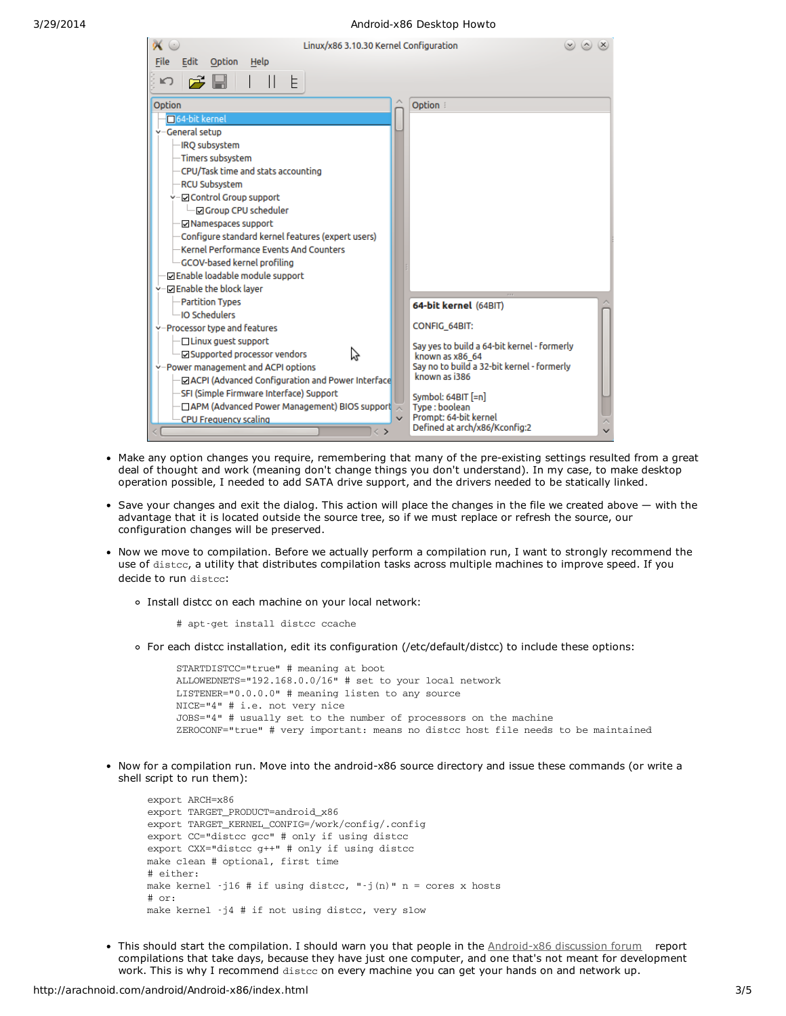| Linux/x86 3.10.30 Kernel Configuration             |                                                             |
|----------------------------------------------------|-------------------------------------------------------------|
| Edit<br>Option Help<br><b>File</b>                 |                                                             |
| りぱ聞<br>E.                                          |                                                             |
|                                                    |                                                             |
| Option                                             | Option :                                                    |
| 64-bit kernel                                      |                                                             |
| -General setup                                     |                                                             |
| -IRQ subsystem                                     |                                                             |
| -Timers subsystem                                  |                                                             |
| -CPU/Task time and stats accounting                |                                                             |
| <b>RCU Subsystem</b>                               |                                                             |
| v-⊡ Control Group support                          |                                                             |
| O Group CPU scheduler                              |                                                             |
| <b>Namespaces support</b>                          |                                                             |
| Configure standard kernel features (expert users)  |                                                             |
| Kernel Performance Events And Counters             |                                                             |
| <b>GCOV-based kernel profiling</b>                 |                                                             |
| □ Enable loadable module support                   |                                                             |
| -ØEnable the block layer                           |                                                             |
| <b>Partition Types</b>                             | 64-bit kernel (64BIT)                                       |
| <b>IO Schedulers</b>                               |                                                             |
| -Processor type and features                       | <b>CONFIG 64BIT:</b>                                        |
| ⊡ Linux guest support                              | Say yes to build a 64-bit kernel - formerly                 |
| ☑ Supported processor vendors<br>ベ                 | known as x86 64                                             |
| y-Power management and ACPI options                | Say no to build a 32-bit kernel - formerly<br>known as i386 |
| □ ACPI (Advanced Configuration and Power Interface |                                                             |
| SFI (Simple Firmware Interface) Support            | Symbol: $64BIT$ [=n]                                        |
| □ APM (Advanced Power Management) BIOS support     | Type: boolean                                               |
| $\mathbf{v}$<br><b>CPU Frequency scaling</b>       | Prompt: 64-bit kernel<br>Defined at arch/x86/Kconfig:2      |
| ⇔                                                  |                                                             |

- Make any option changes you require, remembering that many of the pre-existing settings resulted from a great deal of thought and work (meaning don't change things you don't understand). In my case, to make desktop operation possible, I needed to add SATA drive support, and the drivers needed to be statically linked.
- Save your changes and exit the dialog. This action will place the changes in the file we created above with the advantage that it is located outside the source tree, so if we must replace or refresh the source, our configuration changes will be preserved.
- Now we move to compilation. Before we actually perform a compilation run, I want to strongly recommend the use of distcc, a utility that distributes compilation tasks across multiple machines to improve speed. If you decide to run distcc:
	- Install distcc on each machine on your local network:
		- # apt-get install distcc ccache
	- For each distcc installation, edit its configuration (/etc/default/distcc) to include these options:

STARTDISTCC="true" # meaning at boot ALLOWEDNETS="192.168.0.0/16" # set to your local network LISTENER="0.0.0.0" # meaning listen to any source NICE="4" # i.e. not very nice JOBS="4" # usually set to the number of processors on the machine ZEROCONF="true" # very important: means no distcc host file needs to be maintained

• Now for a compilation run. Move into the android-x86 source directory and issue these commands (or write a shell script to run them):

export ARCH=x86 export TARGET\_PRODUCT=android\_x86 export TARGET\_KERNEL\_CONFIG=/work/config/.config export CC="distcc gcc" # only if using distcc export CXX="distcc g++" # only if using distcc make clean # optional, first time # either: make kernel  $-j16$  # if using distcc, " $-j(n)$ " n = cores x hosts # or: make kernel -j4 # if not using distcc, very slow

• This should start the compilation. I should warn you that people in the [Android-x86](https://groups.google.com/forum/#!forum/android-x86) discussion forum report compilations that take days, because they have just one computer, and one that's not meant for development work. This is why I recommend distcc on every machine you can get your hands on and network up.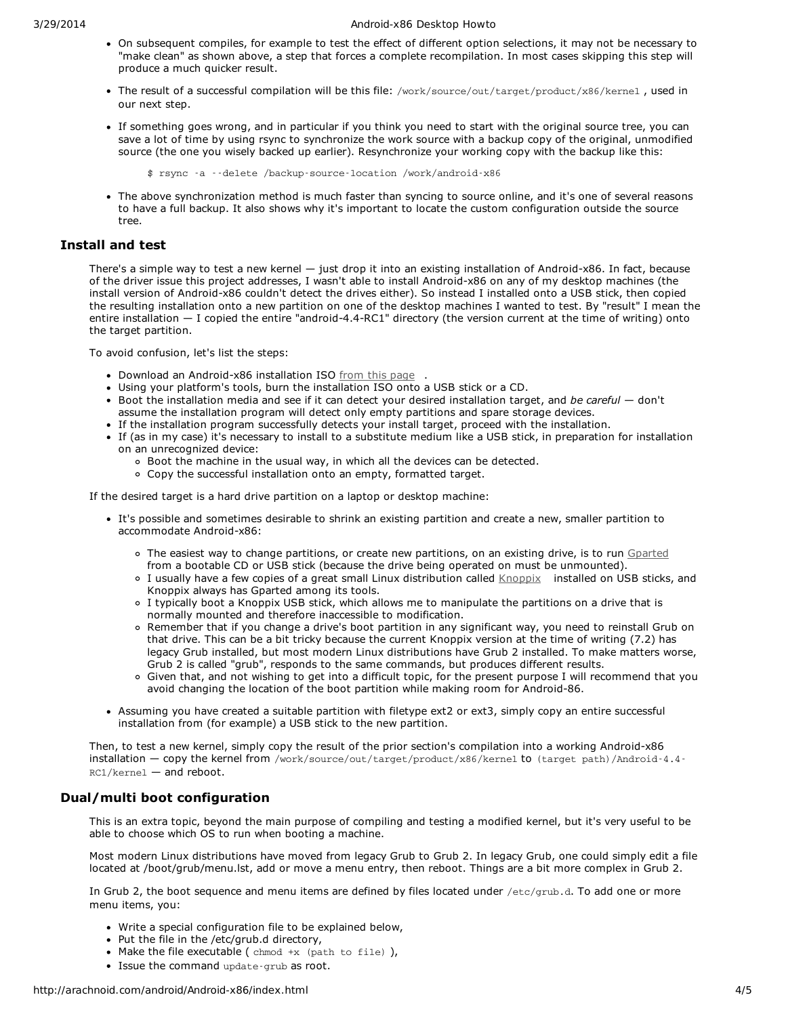### 3/29/2014 Android-x86 Desktop Howto

- On subsequent compiles, for example to test the effect of different option selections, it may not be necessary to "make clean" as shown above, a step that forces a complete recompilation. In most cases skipping this step will produce a much quicker result.
- The result of a successful compilation will be this file: /work/source/out/target/product/x86/kernel , used in our next step.
- If something goes wrong, and in particular if you think you need to start with the original source tree, you can save a lot of time by using rsync to synchronize the work source with a backup copy of the original, unmodified source (the one you wisely backed up earlier). Resynchronize your working copy with the backup like this:

\$ rsync -a --delete /backup-source-location /work/android-x86

The above synchronization method is much faster than syncing to source online, and it's one of several reasons to have a full backup. It also shows why it's important to locate the custom configuration outside the source tree.

## **Install and test**

There's a simple way to test a new kernel  $-$  just drop it into an existing installation of Android-x86. In fact, because of the driver issue this project addresses, I wasn't able to install Android-x86 on any of my desktop machines (the install version of Android-x86 couldn't detect the drives either). So instead I installed onto a USB stick, then copied the resulting installation onto a new partition on one of the desktop machines I wanted to test. By "result" I mean the entire installation — I copied the entire "android-4.4-RC1" directory (the version current at the time of writing) onto the target partition.

To avoid confusion, let's list the steps:

- Download an Android-x86 installation ISO from this [page](http://www.android-x86.org/download) .
- Using your platform's tools, burn the installation ISO onto a USB stick or a CD.
- Boot the installation media and see if it can detect your desired installation target, and *be careful* don't assume the installation program will detect only empty partitions and spare storage devices.
- If the installation program successfully detects your install target, proceed with the installation.
- If (as in my case) it's necessary to install to a substitute medium like a USB stick, in preparation for installation on an unrecognized device:
	- Boot the machine in the usual way, in which all the devices can be detected.
	- Copy the successful installation onto an empty, formatted target.

If the desired target is a hard drive partition on a laptop or desktop machine:

- It's possible and sometimes desirable to shrink an existing partition and create a new, smaller partition to accommodate Android-x86:
	- The easiest way to change partitions, or create new partitions, on an existing drive, is to run [Gparted](http://gparted.org/) from a bootable CD or USB stick (because the drive being operated on must be unmounted).
	- o I usually have a few copies of a great small Linux distribution called [Knoppix](http://www.knopper.net/knoppix/index-en.html) installed on USB sticks, and Knoppix always has Gparted among its tools.
	- I typically boot a Knoppix USB stick, which allows me to manipulate the partitions on a drive that is normally mounted and therefore inaccessible to modification.
	- Remember that if you change a drive's boot partition in any significant way, you need to reinstall Grub on that drive. This can be a bit tricky because the current Knoppix version at the time of writing (7.2) has legacy Grub installed, but most modern Linux distributions have Grub 2 installed. To make matters worse, Grub 2 is called "grub", responds to the same commands, but produces different results.
	- Given that, and not wishing to get into a difficult topic, for the present purpose I will recommend that you avoid changing the location of the boot partition while making room for Android-86.
- Assuming you have created a suitable partition with filetype ext2 or ext3, simply copy an entire successful installation from (for example) a USB stick to the new partition.

Then, to test a new kernel, simply copy the result of the prior section's compilation into a working Android-x86 installation — copy the kernel from /work/source/out/target/product/x86/kernel to (target path)/Android-4.4- RC1/kernel — and reboot.

## **Dual/multi boot configuration**

This is an extra topic, beyond the main purpose of compiling and testing a modified kernel, but it's very useful to be able to choose which OS to run when booting a machine.

Most modern Linux distributions have moved from legacy Grub to Grub 2. In legacy Grub, one could simply edit a file located at /boot/grub/menu.lst, add or move a menu entry, then reboot. Things are a bit more complex in Grub 2.

In Grub 2, the boot sequence and menu items are defined by files located under /etc/grub.d. To add one or more menu items, you:

- Write a special configuration file to be explained below,
- Put the file in the /etc/grub.d directory,
- Make the file executable ( $chmod +x$  ( $path to file$ ),
- Issue the command update-grub as root.